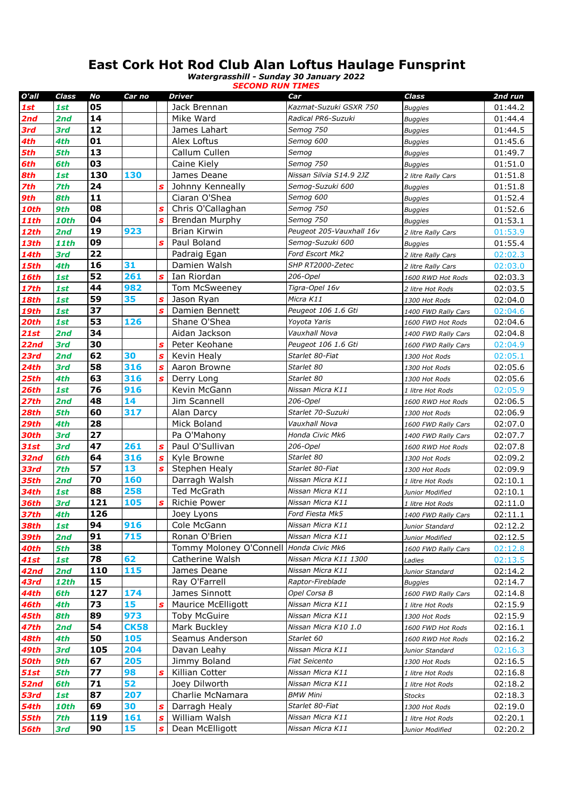## **East Cork Hot Rod Club Alan Loftus Haulage Funsprint**

*Watergrasshill - Sunday 30 January 2022 SECOND RUN TIMES*

| O'all        | Class       | No        | Car no      |              | <b>Driver</b>                           | Car                                 | Class                         | 2nd run            |
|--------------|-------------|-----------|-------------|--------------|-----------------------------------------|-------------------------------------|-------------------------------|--------------------|
| 1st          | 1st         | 05        |             |              | Jack Brennan                            | Kazmat-Suzuki GSXR 750              | <b>Buggies</b>                | 01:44.2            |
| 2nd          | 2nd         | 14        |             |              | Mike Ward                               | Radical PR6-Suzuki                  | <b>Buggies</b>                | 01:44.4            |
| 3rd          | 3rd         | $12$      |             |              | James Lahart                            | Semog 750                           | <b>Buggies</b>                | 01:44.5            |
| 4th          | 4th         | 01        |             |              | Alex Loftus                             | Semog 600                           | <b>Buggies</b>                | 01:45.6            |
| 5th          | 5th         | 13        |             |              | Callum Cullen                           | Semog                               | <b>Buggies</b>                | 01:49.7            |
| 6th          | 6th         | 03        |             |              | Caine Kiely                             | Semog 750                           | <b>Buggies</b>                | 01:51.0            |
| 8th          | 1st         | 130       | 130         |              | James Deane                             | Nissan Silvia S14.9 2JZ             | 2 litre Rally Cars            | 01:51.8            |
| 7th          | 7th         | 24        |             | S            | Johnny Kenneally                        | Semog-Suzuki 600                    | <b>Buggies</b>                | 01:51.8            |
| 9th          | 8th         | 11        |             |              | Ciaran O'Shea                           | Semog 600                           | <b>Buggies</b>                | 01:52.4            |
| <b>10th</b>  | 9th         | 08        |             | $\mathbf{s}$ | Chris O'Callaghan                       | Semog 750                           | <b>Buggies</b>                | 01:52.6            |
| <b>11th</b>  | <b>10th</b> | 04        |             | $\mathbf{s}$ | <b>Brendan Murphy</b>                   | Semog 750                           | <b>Buggies</b>                | 01:53.1            |
| <b>12th</b>  | 2nd         | 19        | 923         |              | <b>Brian Kirwin</b>                     | Peugeot 205-Vauxhall 16v            | 2 litre Rally Cars            | 01:53.9            |
| <b>13th</b>  | <b>11th</b> | 09        |             | $\mathbf{s}$ | Paul Boland                             | Semog-Suzuki 600                    | <b>Buggies</b>                | 01:55.4            |
| <b>14th</b>  | 3rd         | 22        |             |              | Padraig Egan                            | Ford Escort Mk2                     | 2 litre Rally Cars            | 02:02.3            |
| 15th         | 4th         | 16        | 31          |              | Damien Walsh                            | SHP RT2000-Zetec                    | 2 litre Rally Cars            | 02:03.0            |
| 16th         | 1st         | 52        | 261         | $\mathbf{s}$ | Ian Riordan                             | 206-Opel                            | 1600 RWD Hot Rods             | 02:03.3            |
| <b>17th</b>  | 1st         | 44        | 982         |              | Tom McSweeney                           | Tigra-Opel 16v                      | 2 litre Hot Rods              | 02:03.5            |
| 18th         | 1st         | 59        | 35          | S            | Jason Ryan                              | Micra K11                           | 1300 Hot Rods                 | 02:04.0            |
| <b>19th</b>  | 1st         | 37        |             | S            | Damien Bennett                          | Peugeot 106 1.6 Gti                 | 1400 FWD Rally Cars           | 02:04.6            |
| 20th         | 1st         | 53        | 126         |              | Shane O'Shea                            | Yovota Yaris                        | 1600 FWD Hot Rods             | 02:04.6            |
| <b>21st</b>  | 2nd         | 34        |             |              | Aidan Jackson                           | Vauxhall Nova                       | 1400 FWD Rally Cars           | 02:04.8            |
| 22nd         | 3rd         | 30        |             | S            | Peter Keohane                           | Peugeot 106 1.6 Gti                 | 1600 FWD Rally Cars           | 02:04.9            |
| 23rd         | 2nd         | 62        | 30          | S            | Kevin Healy                             | Starlet 80-Fiat                     | 1300 Hot Rods                 | 02:05.1            |
| <b>24th</b>  | 3rd         | 58        | 316         | S            | Aaron Browne                            | Starlet 80                          | 1300 Hot Rods                 | 02:05.6            |
| <b>25th</b>  | 4th         | 63        | 316         | S            | Derry Long                              | Starlet 80                          | 1300 Hot Rods                 | 02:05.6            |
| <b>26th</b>  | 1st         | 76        | 916         |              | Kevin McGann                            | Nissan Micra K11                    | 1 litre Hot Rods              | 02:05.9            |
| <b>27th</b>  | 2nd         | 48        | 14          |              | Jim Scannell                            | 206-Opel                            | 1600 RWD Hot Rods             | 02:06.5            |
| 28th         | 5th         | 60        | 317         |              | Alan Darcy                              | Starlet 70-Suzuki                   | 1300 Hot Rods                 | 02:06.9            |
| 29th         | 4th         | 28        |             |              | Mick Boland                             | Vauxhall Nova                       | 1600 FWD Rally Cars           | 02:07.0            |
| 30th         | 3rd         | 27        |             |              | Pa O'Mahony                             | Honda Civic Mk6                     | 1400 FWD Rally Cars           | 02:07.7            |
| 31st         | 3rd         | 47        | 261         | S            | Paul O'Sullivan                         | 206-Opel                            | 1600 RWD Hot Rods             | 02:07.8            |
| <b>32nd</b>  | 6th         | 64        | 316         | S            | Kyle Browne                             | Starlet 80                          | 1300 Hot Rods                 | 02:09.2            |
| 33rd         | 7th         | 57        | 13          | S            | Stephen Healy                           | Starlet 80-Fiat                     | 1300 Hot Rods                 | 02:09.9            |
| 35th         | 2nd         | 70        | 160         |              | Darragh Walsh                           | Nissan Micra K11                    | 1 litre Hot Rods              | 02:10.1            |
| <b>34th</b>  | 1st         | 88<br>121 | 258<br>105  |              | <b>Ted McGrath</b>                      | Nissan Micra K11                    | Junior Modified               | 02:10.1            |
| <b>36th</b>  | 3rd         | 126       |             | S            | <b>Richie Power</b>                     | Nissan Micra K11<br>Ford Fiesta Mk5 | 1 litre Hot Rods              | 02:11.0            |
| <b>37th</b>  | 4th         | 94        | 916         |              | Joey Lyons                              | Nissan Micra K11                    | 1400 FWD Rally Cars           | 02:11.1            |
| <b>38th</b>  | 1st<br>2nd  | 91        | 715         |              | Cole McGann<br>Ronan O'Brien            | Nissan Micra K11                    | Junior Standard               | 02:12.2            |
| 39th         | 5th         | 38        |             |              | Tommy Moloney O'Connell Honda Civic Mk6 |                                     | Junior Modified               | 02:12.5            |
| 40th<br>41st | 1st         | 78        | 62          |              | Catherine Walsh                         | Nissan Micra K11 1300               | 1600 FWD Rally Cars<br>Ladies | 02:12.8<br>02:13.5 |
| 42nd         | 2nd         | 110       | 115         |              | James Deane                             | Nissan Micra K11                    | Junior Standard               | 02:14.2            |
| 43rd         | <b>12th</b> | 15        |             |              | Ray O'Farrell                           | Raptor-Fireblade                    | <b>Buggies</b>                | 02:14.7            |
| 44th         | 6th         | 127       | 174         |              | James Sinnott                           | Opel Corsa B                        | 1600 FWD Rally Cars           | 02:14.8            |
| <b>46th</b>  | 4th         | 73        | 15          | S            | Maurice McElligott                      | Nissan Micra K11                    | 1 litre Hot Rods              | 02:15.9            |
| 45th         | 8th         | 89        | 973         |              | <b>Toby McGuire</b>                     | Nissan Micra K11                    | 1300 Hot Rods                 | 02:15.9            |
| <b>47th</b>  | 2nd         | 54        | <b>CK58</b> |              | Mark Buckley                            | Nissan Micra K10 1.0                | 1600 FWD Hot Rods             | 02:16.1            |
| 48th         | 4th         | 50        | 105         |              | Seamus Anderson                         | Starlet 60                          | 1600 RWD Hot Rods             | 02:16.2            |
| 49th         | 3rd         | 105       | 204         |              | Davan Leahy                             | Nissan Micra K11                    | Junior Standard               | 02:16.3            |
| 50th         | 9th         | 67        | 205         |              | Jimmy Boland                            | <b>Fiat Seicento</b>                | 1300 Hot Rods                 | 02:16.5            |
| <b>51st</b>  | 5th         | 77        | 98          | s            | Killian Cotter                          | Nissan Micra K11                    | 1 litre Hot Rods              | 02:16.8            |
| <b>52nd</b>  | 6th         | 71        | 52          |              | Joey Dilworth                           | Nissan Micra K11                    | 1 litre Hot Rods              | 02:18.2            |
| 53rd         | <b>1st</b>  | 87        | 207         |              | Charlie McNamara                        | BMW Mini                            | Stocks                        | 02:18.3            |
| <b>54th</b>  | <b>10th</b> | 69        | 30          | s            | Darragh Healy                           | Starlet 80-Fiat                     | 1300 Hot Rods                 | 02:19.0            |
| <i>55th</i>  | <b>7th</b>  | 119       | 161         | S            | William Walsh                           | Nissan Micra K11                    | 1 litre Hot Rods              | 02:20.1            |
| <b>56th</b>  | 3rd         | 90        | 15          | S            | Dean McElligott                         | Nissan Micra K11                    | Junior Modified               | 02:20.2            |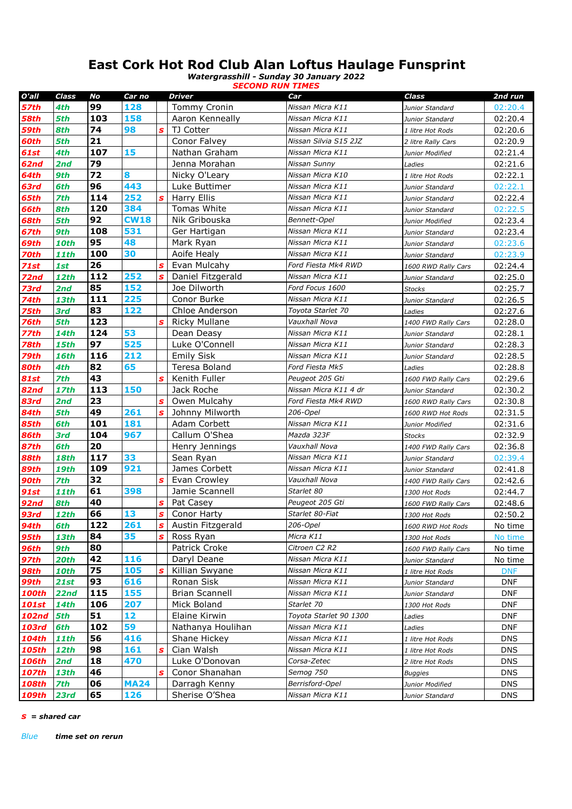## **East Cork Hot Rod Club Alan Loftus Haulage Funsprint**

*Watergrasshill - Sunday 30 January 2022 SECOND RUN TIMES*

| O'all       | Class       | No        | Car no             |              | Driver                | Car                                  | Class               | 2nd run    |
|-------------|-------------|-----------|--------------------|--------------|-----------------------|--------------------------------------|---------------------|------------|
| <b>57th</b> | 4th         | 99        | 128                |              | Tommy Cronin          | Nissan Micra K11                     | Junior Standard     | 02:20.4    |
| 58th        | 5th         | 103       | 158                |              | Aaron Kenneally       | Nissan Micra K11                     | Junior Standard     | 02:20.4    |
| 59th        | 8th         | 74        | 98                 | S            | TJ Cotter             | Nissan Micra K11                     | 1 litre Hot Rods    | 02:20.6    |
| 60th        | 5th         | 21        |                    |              | Conor Falvey          | Nissan Silvia S15 2JZ                | 2 litre Rally Cars  | 02:20.9    |
| 61st        | 4th         | 107       | 15                 |              | Nathan Graham         | Nissan Micra K11                     | Junior Modified     | 02:21.4    |
| 62nd        | 2nd         | 79        |                    |              | Jenna Morahan         | Nissan Sunny                         | Ladies              | 02:21.6    |
| 64th        | 9th         | 72        | 8                  |              | Nicky O'Leary         | Nissan Micra K10                     | 1 litre Hot Rods    | 02:22.1    |
| 63rd        | 6th         | 96        | 443                |              | Luke Buttimer         | Nissan Micra K11                     | Junior Standard     | 02:22.1    |
| 65th        | <b>7th</b>  | 114       | 252                | S            | Harry Ellis           | Nissan Micra K11                     | Junior Standard     | 02:22.4    |
| 66th        | 8th         | 120       | 384                |              | Tomas White           | Nissan Micra K11                     | Junior Standard     | 02:22.5    |
| <b>68th</b> | 5th         | 92        | <b>CW18</b>        |              | Nik Gribouska         | Bennett-Opel                         | Junior Modified     | 02:23.4    |
| 67th        | 9th         | 108       | 531                |              | Ger Hartigan          | Nissan Micra K11                     | Junior Standard     | 02:23.4    |
| 69th        | <b>10th</b> | 95        | 48                 |              | Mark Ryan             | Nissan Micra K11                     | Junior Standard     | 02:23.6    |
| 70th        | <b>11th</b> | 100       | 30                 |              | Aoife Healy           | Nissan Micra K11                     | Junior Standard     | 02:23.9    |
| <b>71st</b> | 1st         | 26        |                    | S            | Evan Mulcahy          | Ford Fiesta Mk4 RWD                  | 1600 RWD Rally Cars | 02:24.4    |
| 72nd        | <b>12th</b> | 112       | 252                | $\mathbf{s}$ | Daniel Fitzgerald     | Nissan Micra K11                     | Junior Standard     | 02:25.0    |
| 73rd        | 2nd         | 85        | 152                |              | Joe Dilworth          | Ford Focus 1600                      | <b>Stocks</b>       | 02:25.7    |
| 74th        | <b>13th</b> | 111       | 225                |              | Conor Burke           | Nissan Micra K11                     | Junior Standard     | 02:26.5    |
| 75th        | 3rd         | 83        | 122                |              | Chloe Anderson        | Toyota Starlet 70                    | Ladies              | 02:27.6    |
| 76th        | 5th         | 123       |                    | S            | <b>Ricky Mullane</b>  | Vauxhall Nova                        | 1400 FWD Rally Cars | 02:28.0    |
| 77th        | <b>14th</b> | 124       | 53                 |              | Dean Deasy            | Nissan Micra K11                     | Junior Standard     | 02:28.1    |
| 78th        | <b>15th</b> | 97        | 525                |              | Luke O'Connell        | Nissan Micra K11                     | Junior Standard     | 02:28.3    |
| 79th        | <b>16th</b> | 116       | 212                |              | <b>Emily Sisk</b>     | Nissan Micra K11                     | Junior Standard     | 02:28.5    |
| 80th        | 4th         | 82        | 65                 |              | Teresa Boland         | Ford Fiesta Mk5                      | Ladies              | 02:28.8    |
| <b>81st</b> | <b>7th</b>  | 43        |                    | S            | Kenith Fuller         | Peugeot 205 Gti                      | 1600 FWD Rally Cars | 02:29.6    |
| 82nd        | <b>17th</b> | 113       | 150                |              | Jack Roche            | Nissan Micra K11 4 dr                | Junior Standard     | 02:30.2    |
| 83rd        | 2nd         | 23        |                    | S            | Owen Mulcahy          | Ford Fiesta Mk4 RWD                  | 1600 RWD Rally Cars | 02:30.8    |
| 84th        | 5th         | 49        | 261                | S            | Johnny Milworth       | 206-Opel                             | 1600 RWD Hot Rods   | 02:31.5    |
| 85th        | 6th         | 101       | 181                |              | Adam Corbett          | Nissan Micra K11                     | Junior Modified     | 02:31.6    |
| 86th        | 3rd         | 104       | 967                |              | Callum O'Shea         | Mazda 323F                           | <b>Stocks</b>       | 02:32.9    |
| 87th        | 6th         | 20        |                    |              | Henry Jennings        | Vauxhall Nova                        | 1400 FWD Rally Cars | 02:36.8    |
| <b>88th</b> | <b>18th</b> | 117       | 33                 |              | Sean Ryan             | Nissan Micra K11                     | Junior Standard     | 02:39.4    |
| 89th        | <b>19th</b> | 109       | 921                |              | James Corbett         | Nissan Micra K11                     | Junior Standard     | 02:41.8    |
| 90th        | 7th         | 32        |                    | S            | Evan Crowley          | Vauxhall Nova                        | 1400 FWD Rally Cars | 02:42.6    |
| <b>91st</b> | <b>11th</b> | 61        | 398                |              | Jamie Scannell        | Starlet 80                           | 1300 Hot Rods       | 02:44.7    |
| 92nd        | 8th         | 40        |                    | S            | Pat Casey             | Peugeot 205 Gti                      | 1600 FWD Rally Cars | 02:48.6    |
| 93rd        | <b>12th</b> | 66        | 13                 | S            | Conor Harty           | Starlet 80-Fiat                      | 1300 Hot Rods       | 02:50.2    |
| <b>94th</b> | 6th         | 122       | 261                | $\mathbf{s}$ | Austin Fitzgerald     | 206-Opel                             | 1600 RWD Hot Rods   | No time    |
| 95th        | 13th        | 84        | 35                 | s            | Ross Ryan             | Micra K11                            | 1300 Hot Rods       | No time    |
| <b>96th</b> | 9th         | 80        |                    |              | Patrick Croke         | Citroen C2 R2                        | 1600 FWD Rally Cars | No time    |
| <b>97th</b> | <b>20th</b> | 42        | 116                |              | Daryl Deane           | Nissan Micra K11                     | Junior Standard     | No time    |
| <b>98th</b> | <b>10th</b> | 75        | 105                | S            | Killian Swyane        | Nissan Micra K11                     | 1 litre Hot Rods    | <b>DNF</b> |
| <b>99th</b> | 21st        | 93        | 616                |              | Ronan Sisk            | Nissan Micra K11                     | Junior Standard     | <b>DNF</b> |
| 100th       | 22nd        | 115       | 155                |              | <b>Brian Scannell</b> | Nissan Micra K11                     | Junior Standard     | DNF        |
| 101st       | <b>14th</b> | 106<br>51 | 207<br>12          |              | Mick Boland           | Starlet 70<br>Toyota Starlet 90 1300 | 1300 Hot Rods       | <b>DNF</b> |
| 102nd       | 5th         |           |                    |              | Elaine Kirwin         |                                      | Ladies              | <b>DNF</b> |
| 103rd       | 6th         | 102       | 59                 |              | Nathanya Houlihan     | Nissan Micra K11<br>Nissan Micra K11 | Ladies              | <b>DNF</b> |
| 104th       | 11th        | 56<br>98  | 416                |              | Shane Hickey          | Nissan Micra K11                     | 1 litre Hot Rods    | <b>DNS</b> |
| 105th       | 12th        |           | 161                | S            | Cian Walsh            | Corsa-Zetec                          | 1 litre Hot Rods    | <b>DNS</b> |
| 106th       | 2nd         | 18<br>46  | 470                |              | Luke O'Donovan        | Semog 750                            | 2 litre Hot Rods    | <b>DNS</b> |
| 107th       | <b>13th</b> | 06        |                    | S            | Conor Shanahan        |                                      | <b>Buggies</b>      | <b>DNS</b> |
| 108th       | <b>7th</b>  |           | <b>MA24</b><br>126 |              | Darragh Kenny         | Berrisford-Opel                      | Junior Modified     | <b>DNS</b> |
| 109th       | 23rd        | 65        |                    |              | Sherise O'Shea        | Nissan Micra K11                     | Junior Standard     | <b>DNS</b> |

*s = shared car*